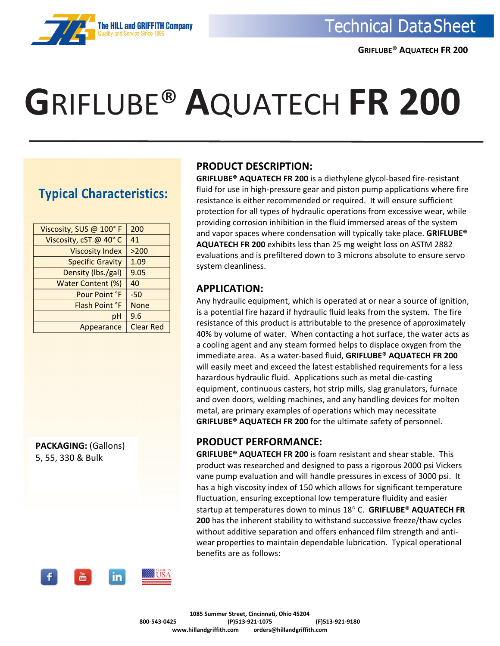# **G**RIFLUBE® **A**QUATECH **FR 200**

### **Typical Characteristics:**

**The HILL and GRIFFITH** 

| Viscosity, SUS @ 100°F  | 200              |
|-------------------------|------------------|
| Viscosity, cST @ 40°C   | 41               |
| <b>Viscosity Index</b>  | >200             |
| <b>Specific Gravity</b> | 1.09             |
| Density (lbs./gal)      | 9.05             |
| Water Content (%)       | 40               |
| Pour Point °F           | $-50$            |
| Flash Point °F          | <b>None</b>      |
| рH                      | 9.6              |
| Appearance              | <b>Clear Red</b> |
|                         |                  |

**PACKAGING:** (Gallons) 5, 55, 330 & Bulk

#### **PRODUCT DESCRIPTION:**

**GRIFLUBE® AQUATECH FR 200** is a diethylene glycol‐based fire‐resistant fluid for use in high‐pressure gear and piston pump applications where fire resistance is either recommended or required. It will ensure sufficient protection for all types of hydraulic operations from excessive wear, while providing corrosion inhibition in the fluid immersed areas of the system and vapor spaces where condensation will typically take place. **GRIFLUBE® AQUATECH FR 200** exhibits less than 25 mg weight loss on ASTM 2882 evaluations and is prefiltered down to 3 microns absolute to ensure servo system cleanliness.

#### **APPLICATION:**

Any hydraulic equipment, which is operated at or near a source of ignition, is a potential fire hazard if hydraulic fluid leaks from the system. The fire resistance of this product is attributable to the presence of approximately 40% by volume of water. When contacting a hot surface, the water acts as a cooling agent and any steam formed helps to displace oxygen from the immediate area. As a water‐based fluid, **GRIFLUBE® AQUATECH FR 200** will easily meet and exceed the latest established requirements for a less hazardous hydraulic fluid. Applications such as metal die‐casting equipment, continuous casters, hot strip mills, slag granulators, furnace and oven doors, welding machines, and any handling devices for molten metal, are primary examples of operations which may necessitate **GRIFLUBE® AQUATECH FR 200** for the ultimate safety of personnel.

### **PRODUCT PERFORMANCE:**

**GRIFLUBE® AQUATECH FR 200** is foam resistant and shear stable. This product was researched and designed to pass a rigorous 2000 psi Vickers vane pump evaluation and will handle pressures in excess of 3000 psi. It has a high viscosity index of 150 which allows for significant temperature fluctuation, ensuring exceptional low temperature fluidity and easier startup at temperatures down to minus 18 C. **GRIFLUBE® AQUATECH FR 200** has the inherent stability to withstand successive freeze/thaw cycles without additive separation and offers enhanced film strength and anti‐ wear properties to maintain dependable lubrication. Typical operational benefits are as follows: